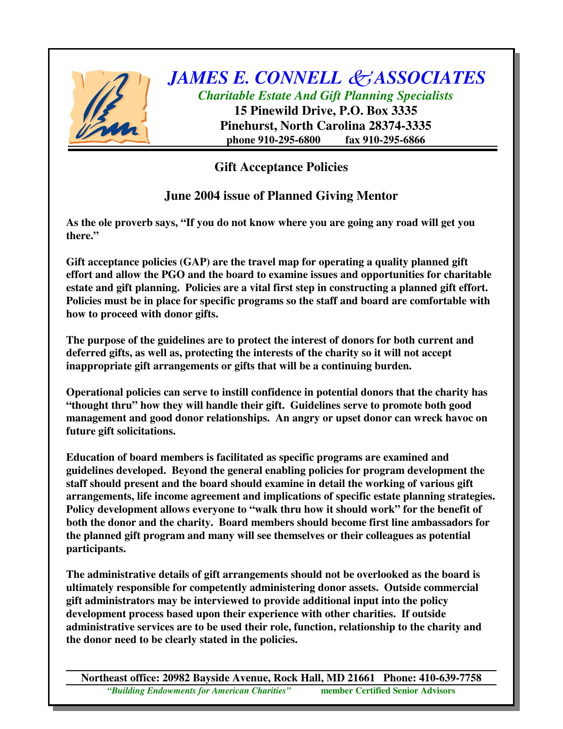

## *JAMES E. CONNELL ASSOCIATES Charitable Estate And Gift Planning Specialists*

**15 Pinewild Drive, P.O. Box 3335 Pinehurst, North Carolina 28374-3335 phone 910-295-6800 fax 910-295-6866**

## **Gift Acceptance Policies**

## **June 2004 issue of Planned Giving Mentor**

**As the ole proverb says, "If you do not know where you are going any road will get you there."**

**Gift acceptance policies (GAP) are the travel map for operating a quality planned gift effort and allow the PGO and the board to examine issues and opportunities for charitable estate and gift planning. Policies are a vital first step in constructing a planned gift effort. Policies must be in place for specific programs so the staff and board are comfortable with how to proceed with donor gifts.**

**The purpose of the guidelines are to protect the interest of donors for both current and deferred gifts, as well as, protecting the interests of the charity so it will not accept inappropriate gift arrangements or gifts that will be a continuing burden.**

**Operational policies can serve to instill confidence in potential donors that the charity has "thought thru" how they will handle their gift. Guidelines serve to promote both good management and good donor relationships. An angry or upset donor can wreck havoc on future gift solicitations.**

**Education of board members is facilitated as specific programs are examined and guidelines developed. Beyond the general enabling policies for program development the staff should present and the board should examine in detail the working of various gift arrangements, life income agreement and implications of specific estate planning strategies. Policy development allows everyone to "walk thru how it should work" for the benefit of both the donor and the charity. Board members should become first line ambassadors for the planned gift program and many will see themselves or their colleagues as potential participants.**

**The administrative details of gift arrangements should not be overlooked as the board is ultimately responsible for competently administering donor assets. Outside commercial gift administrators may be interviewed to provide additional input into the policy development process based upon their experience with other charities. If outside administrative services are to be used their role, function, relationship to the charity and the donor need to be clearly stated in the policies.**